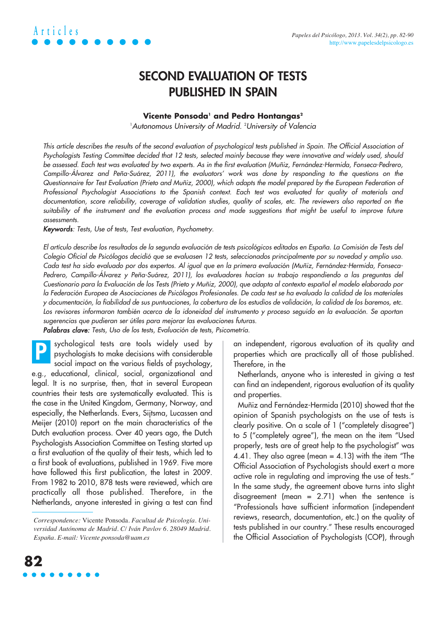

## **SECOND EVALUATION OF TESTS PUBLISHED IN SPAIN**

### **Vicente Ponsoda<sup>1</sup> and Pedro Hontangas<sup>2</sup>**

<sup>1</sup>Autonomous University of Madrid. <sup>2</sup>University of Valencia

This article describes the results of the second evaluation of psychological tests published in Spain. The Official Association of Psychologists Testing Committee decided that 12 tests, selected mainly because they were innovative and widely used, should be assessed. Each test was evaluated by two experts. As in the first evaluation (Muñiz, Fernández-Hermida, Fonseca-Pedrero, Campillo-Álvarez and Peña-Suárez, 2011), the evaluators' work was done by responding to the questions on the Questionnaire for Test Evaluation (Prieto and Muñiz, 2000), which adapts the model prepared by the European Federation of Professional Psychologist Associations to the Spanish context. Each test was evaluated for quality of materials and documentation, score reliability, coverage of validation studies, quality of scales, etc. The reviewers also reported on the suitability of the instrument and the evaluation process and made suggestions that might be useful to improve future assessments.

Keywords: Tests, Use of tests, Test evaluation, Psychometry.

El artículo describe los resultados de la segunda evaluación de tests psicológicos editados en España. La Comisión de Tests del Colegio Oficial de Psicólogos decidió que se evaluasen 12 tests, seleccionados principalmente por su novedad y amplio uso. Cada test ha sido evaluado por dos expertos. Al igual que en la primera evaluación (Muñiz, Fernández-Hermida, Fonseca-Pedrero, Campillo-Álvarez y Peña-Suárez, 2011), los evaluadores hacían su trabajo respondiendo a las preguntas del Cuestionario para la Evaluación de los Tests (Prieto y Muñiz, 2000), que adapta al contexto español el modelo elaborado por la Federación Europea de Asociaciones de Psicólogos Profesionales. De cada test se ha evaluado la calidad de los materiales <sup>y</sup>documentación, la fiabilidad de sus puntuaciones, la cobertura de los estudios de validación, la calidad de los baremos, etc. Los revisores informaron también acerca de la idoneidad del instrumento y proceso seguido en la evaluación. Se aportan sugerencias que pudieran ser útiles para mejorar las evaluaciones futuras.

Palabras clave: Tests, Uso de los tests, Evaluación de tests, Psicometría.

sychological tests are tools widely used by psychologists to make decisions with considerable social impact on the various fields of psychology, e.g., educational, clinical, social, organizational and legal. It is no surprise, then, that in several European countries their tests are systematically evaluated. This is the case in the United Kingdom, Germany, Norway, and especially, the Netherlands. Evers, Sijtsma, Lucassen and Meijer (2010) report on the main characteristics of the Dutch evaluation process. Over 40 years ago, the Dutch Psychologists Association Committee on Testing started up a first evaluation of the quality of their tests, which led to a first book of evaluations, published in 1969. Five more have followed this first publication, the latest in 2009. From 1982 to 2010, 878 tests were reviewed, which are practically all those published. Therefore, in the Netherlands, anyone interested in giving a test can find **P**

an independent, rigorous evaluation of its quality and properties which are practically all of those published. Therefore, in the

Netherlands, anyone who is interested in giving a test can find an independent, rigorous evaluation of its quality and properties.

Muñiz and Fernández-Hermida (2010) showed that the opinion of Spanish psychologists on the use of tests is clearly positive. On a scale of 1 ("completely disagree") to 5 ("completely agree"), the mean on the item "Used properly, tests are of great help to the psychologist" was 4.41. They also agree (mean  $=$  4.13) with the item "The Official Association of Psychologists should exert a more active role in regulating and improving the use of tests." In the same study, the agreement above turns into slight disagreement (mean  $= 2.71$ ) when the sentence is "Professionals have sufficient information (independent reviews, research, documentation, etc.) on the quality of tests published in our country." These results encouraged the Official Association of Psychologists (COP), through



*Correspondence:* Vicente Ponsoda. *Facultad de Psicología. Universidad Autónoma de Madrid. C/ Iván Pavlov 6. 28049 Madrid. España. E-mail: Vicente.ponsoda@uam.es*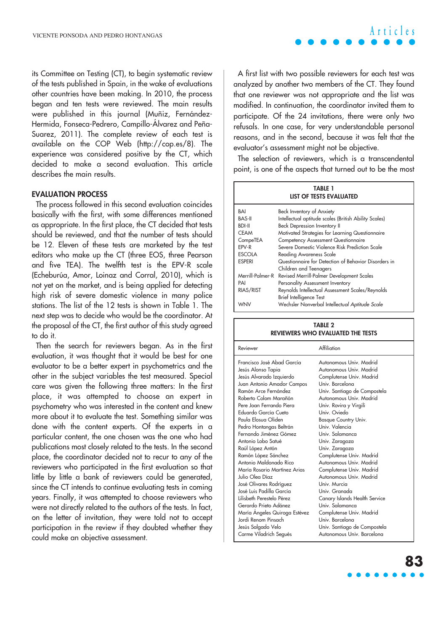its Committee on Testing (CT), to begin systematic review of the tests published in Spain, in the wake of evaluations other countries have been making. In 2010, the process began and ten tests were reviewed. The main results were published in this journal (Muñiz, Fernández-Hermida, Fonseca-Pedrero, Campillo-Álvarez and Peña-Suarez, 2011). The complete review of each test is available on the COP Web (http://cop.es/8). The experience was considered positive by the CT, which decided to make a second evaluation. This article describes the main results.

### **EVALUATION PROCESS**

The process followed in this second evaluation coincides basically with the first, with some differences mentioned as appropriate. In the first place, the CT decided that tests should be reviewed, and that the number of tests should be 12. Eleven of these tests are marketed by the test editors who make up the CT (three EOS, three Pearson and five TEA). The twelfth test is the EPV-R scale (Echeburúa, Amor, Loinaz and Corral, 2010), which is not yet on the market, and is being applied for detecting high risk of severe domestic violence in many police stations. The list of the 12 tests is shown in Table 1. The next step was to decide who would be the coordinator. At the proposal of the CT, the first author of this study agreed to do it.

Then the search for reviewers began. As in the first evaluation, it was thought that it would be best for one evaluator to be a better expert in psychometrics and the other in the subject variables the test measured. Special care was given the following three matters: In the first place, it was attempted to choose an expert in psychometry who was interested in the content and knew more about it to evaluate the test. Something similar was done with the content experts. Of the experts in a particular content, the one chosen was the one who had publications most closely related to the tests. In the second place, the coordinator decided not to recur to any of the reviewers who participated in the first evaluation so that little by little a bank of reviewers could be generated, since the CT intends to continue evaluating tests in coming years. Finally, it was attempted to choose reviewers who were not directly related to the authors of the tests. In fact, on the letter of invitation, they were told not to accept participation in the review if they doubted whether they could make an objective assessment.

**Articles**

A first list with two possible reviewers for each test was analyzed by another two members of the CT. They found that one reviewer was not appropriate and the list was modified. In continuation, the coordinator invited them to participate. Of the 24 invitations, there were only two refusals. In one case, for very understandable personal reasons, and in the second, because it was felt that the evaluator's assessment might not be objective.

The selection of reviewers, which is a transcendental point, is one of the aspects that turned out to be the most

| TABLE 1<br>LIST OF TESTS EVALUATED |                                                                                |  |  |  |  |  |  |  |
|------------------------------------|--------------------------------------------------------------------------------|--|--|--|--|--|--|--|
| BAI                                | Beck Inventory of Anxiety                                                      |  |  |  |  |  |  |  |
| <b>BAS-II</b>                      | Intellectual aptitude scales (British Ability Scales)                          |  |  |  |  |  |  |  |
| <b>BDI-II</b>                      | Beck Depression Inventory II                                                   |  |  |  |  |  |  |  |
| <b>CEAM</b>                        | Motivated Strategies for Learning Questionnaire                                |  |  |  |  |  |  |  |
| CompeTEA                           | <b>Competency Assessment Questionnaire</b>                                     |  |  |  |  |  |  |  |
| EPV-R                              | Severe Domestic Violence Risk Prediction Scale                                 |  |  |  |  |  |  |  |
| <b>ESCOLA</b>                      | <b>Reading Awareness Scale</b>                                                 |  |  |  |  |  |  |  |
| <b>ESPERI</b>                      | Questionnaire for Detection of Behavior Disorders in<br>Children and Teenagers |  |  |  |  |  |  |  |
|                                    | Merrill-Palmer-R Revised Merrill-Palmer Development Scales                     |  |  |  |  |  |  |  |
| PAI                                | Personality Assessment Inventory                                               |  |  |  |  |  |  |  |
| RIAS/RIST                          | Reynolds Intellectual Assessment Scales/Reynolds                               |  |  |  |  |  |  |  |
|                                    | Brief Intelligence Test                                                        |  |  |  |  |  |  |  |
| WNV                                | Wechsler Nonverbal Intellectual Aptitude Scale                                 |  |  |  |  |  |  |  |

#### **TABLE 2 REVIEWERS WHO EVALUATED THE TESTS**

| Reviewer                                                                                                                                                                                                                                                                                                                                                                                                                                                                                                                                                                                                                             | Affiliation                                                                                                                                                                                                                                                                                                                                                                                                                                                                                                                                                                                  |
|--------------------------------------------------------------------------------------------------------------------------------------------------------------------------------------------------------------------------------------------------------------------------------------------------------------------------------------------------------------------------------------------------------------------------------------------------------------------------------------------------------------------------------------------------------------------------------------------------------------------------------------|----------------------------------------------------------------------------------------------------------------------------------------------------------------------------------------------------------------------------------------------------------------------------------------------------------------------------------------------------------------------------------------------------------------------------------------------------------------------------------------------------------------------------------------------------------------------------------------------|
| Francisco José Abad García<br>Jesús Alonso Tapia<br>Jesús Alvarado Izquierdo<br>Juan Antonio Amador Campos<br>Ramón Arce Fernández<br>Roberto Colom Marañón<br>Pere Joan Ferrando Piera<br>Eduardo García Cueto<br>Paula Elosua Oliden<br>Pedro Hontangas Beltrán<br>Fernando Jiménez Gómez<br>Antonio Lobo Satué<br>Raúl López Antón<br>Ramón López Sánchez<br>Antonio Maldonado Rico<br>María Rosario Martínez Arias<br>Julio Olea Díaz<br>José Olivares Rodríguez<br>José Luis Padilla García<br>Lilisbeth Perestelo Pérez<br>Gerardo Prieto Adánez<br>María Angeles Quiroga Estévez<br>Jordi Renom Pinsach<br>Jesús Salgado Velo | Autonomous Univ. Madrid<br>Autonomous Univ. Madrid<br>Complutense Univ. Madrid<br>Univ. Barcelona<br>Univ. Santiago de Compostela<br>Autonomous Univ. Madrid<br>Univ. Rovira y Virgili<br>Univ Oviedo<br><b>Basque Country Univ.</b><br>Univ. Valencia<br>Univ. Salamanca<br>Univ. Zaragoza<br>Univ. Zaragoza<br>Complutense Univ. Madrid<br>Autonomous Univ Madrid<br>Complutense Univ. Madrid<br>Autonomous Univ. Madrid<br>Univ Murcia<br>Univ. Granada<br>Canary Islands Health Service<br>Univ. Salamanca<br>Complutense Univ. Madrid<br>Univ Barcelona<br>Univ. Santiago de Compostela |
| Carme Viladrich Segués                                                                                                                                                                                                                                                                                                                                                                                                                                                                                                                                                                                                               | Autonomous Univ. Barcelona                                                                                                                                                                                                                                                                                                                                                                                                                                                                                                                                                                   |

## **83**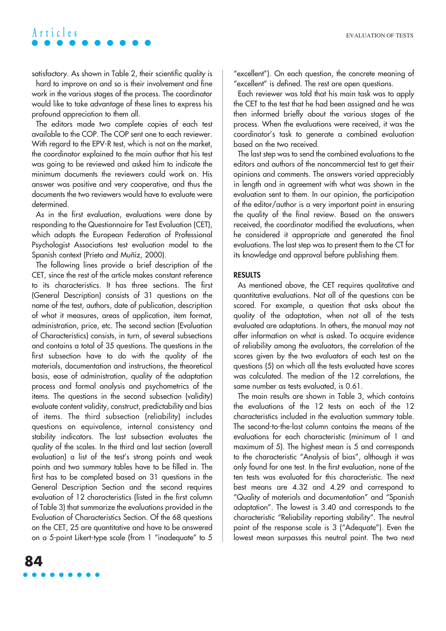## **Articles**

satisfactory. As shown in Table 2, their scientific quality is

hard to improve on and so is their involvement and fine work in the various stages of the process. The coordinator would like to take advantage of these lines to express his profound appreciation to them all.

The editors made two complete copies of each test available to the COP. The COP sent one to each reviewer. With regard to the EPV-R test, which is not on the market, the coordinator explained to the main author that his test was going to be reviewed and asked him to indicate the minimum documents the reviewers could work on. His answer was positive and very cooperative, and thus the documents the two reviewers would have to evaluate were determined.

As in the first evaluation, evaluations were done by responding to the Questionnaire for Test Evaluation (CET), which adapts the European Federation of Professional Psychologist Associations test evaluation model to the Spanish context (Prieto and Muñiz, 2000).

The following lines provide a brief description of the CET, since the rest of the article makes constant reference to its characteristics. It has three sections. The first (General Description) consists of 31 questions on the name of the test, authors, date of publication, description of what it measures, areas of application, item format, administration, price, etc. The second section (Evaluation of Characteristics) consists, in turn, of several subsections and contains a total of 35 questions. The questions in the first subsection have to do with the quality of the materials, documentation and instructions, the theoretical basis, ease of administration, quality of the adaptation process and formal analysis and psychometrics of the items. The questions in the second subsection (validity) evaluate content validity, construct, predictability and bias of items. The third subsection (reliability) includes questions on equivalence, internal consistency and stability indicators. The last subsection evaluates the quality of the scales. In the third and last section (overall evaluation) a list of the test's strong points and weak points and two summary tables have to be filled in. The first has to be completed based on 31 questions in the General Description Section and the second requires evaluation of 12 characteristics (listed in the first column of Table 3) that summarize the evaluations provided in the Evaluation of Characteristics Section. Of the 68 questions on the CET, 25 are quantitative and have to be answered on a 5-point Likert-type scale (from 1 "inadequate" to 5

"excellent"). On each question, the concrete meaning of "excellent" is defined. The rest are open questions.

Each reviewer was told that his main task was to apply the CET to the test that he had been assigned and he was then informed briefly about the various stages of the process. When the evaluations were received, it was the coordinator's task to generate a combined evaluation based on the two received.

The last step was to send the combined evaluations to the editors and authors of the noncommercial test to get their opinions and comments. The answers varied appreciably in length and in agreement with what was shown in the evaluation sent to them. In our opinion, the participation of the editor/author is a very important point in ensuring the quality of the final review. Based on the answers received, the coordinator modified the evaluations, when he considered it appropriate and generated the final evaluations. The last step was to present them to the CT for its knowledge and approval before publishing them.

#### **RESULTS**

As mentioned above, the CET requires qualitative and quantitative evaluations. Not all of the questions can be scored. For example, a question that asks about the quality of the adaptation, when not all of the tests evaluated are adaptations. In others, the manual may not offer information on what is asked. To acquire evidence of reliability among the evaluators, the correlation of the scores given by the two evaluators of each test on the questions (5) on which all the tests evaluated have scores was calculated. The median of the 12 correlations, the same number as tests evaluated, is 0.61.

The main results are shown in Table 3, which contains the evaluations of the 12 tests on each of the 12 characteristics included in the evaluation summary table. The second-to-the-last column contains the means of the evaluations for each characteristic (minimum of 1 and maximum of 5). The highest mean is 5 and corresponds to the characteristic "Analysis of bias", although it was only found for one test. In the first evaluation, none of the ten tests was evaluated for this characteristic. The next best means are 4.32 and 4.29 and correspond to "Quality of materials and documentation" and "Spanish adaptation". The lowest is 3.40 and corresponds to the characteristic "Reliability reporting stability". The neutral point of the response scale is 3 ("Adequate"). Even the lowest mean surpasses this neutral point. The two next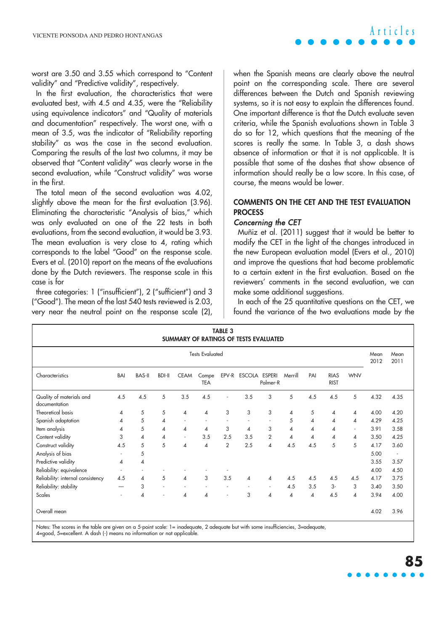

worst are 3.50 and 3.55 which correspond to "Content validity" and "Predictive validity", respectively.

In the first evaluation, the characteristics that were evaluated best, with 4.5 and 4.35, were the "Reliability using equivalence indicators" and "Quality of materials and documentation" respectively. The worst one, with a mean of 3.5, was the indicator of "Reliability reporting stability" as was the case in the second evaluation. Comparing the results of the last two columns, it may be observed that "Content validity" was clearly worse in the second evaluation, while "Construct validity" was worse in the first.

The total mean of the second evaluation was 4.02, slightly above the mean for the first evaluation (3.96). Eliminating the characteristic "Analysis of bias," which was only evaluated on one of the 22 tests in both evaluations, from the second evaluation, it would be 3.93. The mean evaluation is very close to 4, rating which corresponds to the label "Good" on the response scale. Evers et al. (2010) report on the means of the evaluations done by the Dutch reviewers. The response scale in this case is for

three categories: 1 ("insufficient"), 2 ("sufficient") and 3 ("Good"). The mean of the last 540 tests reviewed is 2.03, very near the neutral point on the response scale (2), when the Spanish means are clearly above the neutral point on the corresponding scale. There are several differences between the Dutch and Spanish reviewing systems, so it is not easy to explain the differences found. One important difference is that the Dutch evaluate seven criteria, while the Spanish evaluations shown in Table 3 do so for 12, which questions that the meaning of the scores is really the same. In Table 3, a dash shows absence of information or that it is not applicable. It is possible that some of the dashes that show absence of information should really be a low score. In this case, of course, the means would be lower.

## **COMMENTS ON THE CET AND THE TEST EVALUATION PROCESS**

### Concerning the CET

Muñiz et al. (2011) suggest that it would be better to modify the CET in the light of the changes introduced in the new European evaluation model (Evers et al., 2010) and improve the questions that had become problematic to a certain extent in the first evaluation. Based on the reviewers' comments in the second evaluation, we can make some additional suggestions.

In each of the 25 quantitative questions on the CET, we found the variance of the two evaluations made by the

| <b>TABLE 3</b><br>SUMMARY OF RATINGS OF TESTS EVALUATED |     |               |                |                          |                     |                |                     |                          |                |                          |                            |                          |              |              |
|---------------------------------------------------------|-----|---------------|----------------|--------------------------|---------------------|----------------|---------------------|--------------------------|----------------|--------------------------|----------------------------|--------------------------|--------------|--------------|
| <b>Tests Evaluated</b>                                  |     |               |                |                          |                     |                |                     |                          |                |                          |                            |                          | Mean<br>2012 | Mean<br>2011 |
| Characteristics                                         | BAI | <b>BAS-II</b> | <b>BDI-II</b>  | <b>CEAM</b>              | Compe<br><b>TEA</b> |                | EPV-R ESCOLA ESPERI | Palmer-R                 | Merrill        | PAI                      | <b>RIAS</b><br><b>RIST</b> | <b>WNV</b>               |              |              |
| Quality of materials and<br>documentation               | 4.5 | 4.5           | 5              | 3.5                      | 4.5                 | ٠              | 3.5                 | 3                        | 5              | 4.5                      | 4.5                        | 5                        | 4.32         | 4.35         |
| Theoretical basis                                       | 4   | 5             | 5              | 4                        | 4                   | 3              | 3                   | 3                        | $\overline{4}$ | 5                        | 4                          | 4                        | 4.00         | 4.20         |
| Spanish adaptation                                      | 4   | 5             | $\overline{4}$ |                          |                     |                |                     |                          | 5              | $\overline{\mathcal{A}}$ | $\overline{A}$             | $\overline{\mathcal{A}}$ | 4.29         | 4.25         |
| Item analysis                                           | 4   | 5             | $\overline{4}$ | $\overline{4}$           | 4                   | 3              | $\overline{4}$      | 3                        | $\overline{4}$ | $\overline{\mathcal{A}}$ | 4                          | $\overline{\phantom{a}}$ | 3.91         | 3.58         |
| Content validity                                        | 3   | 4             | $\overline{4}$ | $\overline{\phantom{a}}$ | 3.5                 | 2.5            | 3.5                 | $\overline{2}$           | $\overline{4}$ | 4                        | $\overline{\mathcal{A}}$   | 4                        | 3.50         | 4.25         |
| Construct validity                                      | 4.5 | 5             | 5              | $\overline{4}$           | 4                   | $\overline{2}$ | 2.5                 | $\overline{\mathcal{A}}$ | 4.5            | 4.5                      | 5                          | 5                        | 4.17         | 3.60         |
| Analysis of bias                                        |     | 5             |                |                          |                     |                |                     |                          |                |                          |                            |                          | 5.00         | $\sim$       |
| Predictive validity                                     | 4   | 4             |                |                          |                     |                |                     |                          |                |                          |                            |                          | 3.55         | 3.57         |
| Reliability: equivalence                                |     |               |                |                          |                     |                |                     |                          |                |                          |                            |                          | 4.00         | 4.50         |
| Reliability: internal consistency                       | 4.5 | 4             | 5              | $\overline{4}$           | 3                   | 3.5            | 4                   | $\overline{4}$           | 4.5            | 4.5                      | 4.5                        | 4.5                      | 4.17         | 3.75         |
| Reliability: stability                                  |     | 3             |                |                          |                     |                |                     | $\sim$                   | 4.5            | 3.5                      | 3-                         | 3                        | 3.40         | 3.50         |
| Scales                                                  |     | 4             |                | $\pmb{\varDelta}$        | 4                   | $\sim$         | 3                   | $\overline{\mathcal{A}}$ | $\overline{4}$ | $\overline{\mathcal{A}}$ | 4.5                        | $\overline{\mathcal{A}}$ | 3.94         | 4.00         |
| Overall mean                                            |     |               |                |                          |                     |                |                     |                          |                |                          |                            |                          | 4.02         | 3.96         |

Notes: The scores in the table are given on a 5-point scale: 1= inadequate, 2 adequate but with some insufficiencies, 3=adequate, 4=good, 5=excellent. A dash (-) means no information or not applicable.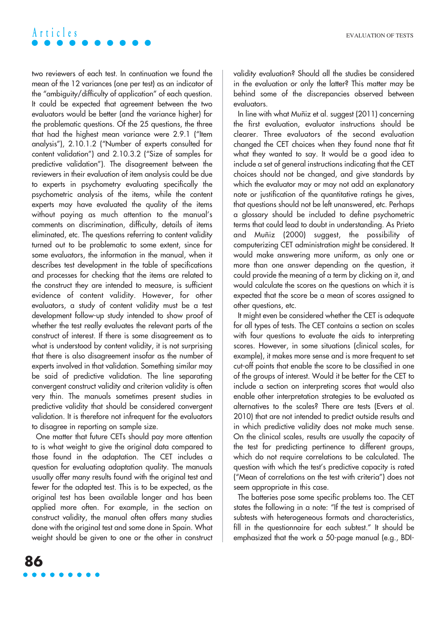#### EVALUATION OF TESTS

## **Articles**

two reviewers of each test. In continuation we found the mean of the 12 variances (one per test) as an indicator of the "ambiguity/difficulty of application" of each question. It could be expected that agreement between the two evaluators would be better (and the variance higher) for the problematic questions. Of the 25 questions, the three that had the highest mean variance were 2.9.1 ("Item analysis"), 2.10.1.2 ("Number of experts consulted for content validation") and 2.10.3.2 ("Size of samples for predictive validation"). The disagreement between the reviewers in their evaluation of item analysis could be due to experts in psychometry evaluating specifically the psychometric analysis of the items, while the content experts may have evaluated the quality of the items without paying as much attention to the manual's comments on discrimination, difficulty, details of items eliminated, etc. The questions referring to content validity turned out to be problematic to some extent, since for some evaluators, the information in the manual, when it describes test development in the table of specifications and processes for checking that the items are related to the construct they are intended to measure, is sufficient evidence of content validity. However, for other evaluators, a study of content validity must be a test development follow-up study intended to show proof of whether the test really evaluates the relevant parts of the construct of interest. If there is some disagreement as to what is understood by content validity, it is not surprising that there is also disagreement insofar as the number of experts involved in that validation. Something similar may be said of predictive validation. The line separating convergent construct validity and criterion validity is often very thin. The manuals sometimes present studies in predictive validity that should be considered convergent validation. It is therefore not infrequent for the evaluators to disagree in reporting on sample size.

One matter that future CETs should pay more attention to is what weight to give the original data compared to those found in the adaptation. The CET includes a question for evaluating adaptation quality. The manuals usually offer many results found with the original test and fewer for the adapted test. This is to be expected, as the original test has been available longer and has been applied more often. For example, in the section on construct validity, the manual often offers many studies done with the original test and some done in Spain. What weight should be given to one or the other in construct validity evaluation? Should all the studies be considered in the evaluation or only the latter? This matter may be behind some of the discrepancies observed between evaluators.

In line with what Muñiz et al. suggest (2011) concerning the first evaluation, evaluator instructions should be clearer. Three evaluators of the second evaluation changed the CET choices when they found none that fit what they wanted to say. It would be a good idea to include a set of general instructions indicating that the CET choices should not be changed, and give standards by which the evaluator may or may not add an explanatory note or justification of the quantitative ratings he gives, that questions should not be left unanswered, etc. Perhaps a glossary should be included to define psychometric terms that could lead to doubt in understanding. As Prieto and Muñiz (2000) suggest, the possibility of computerizing CET administration might be considered. It would make answering more uniform, as only one or more than one answer depending on the question, it could provide the meaning of a term by clicking on it, and would calculate the scores on the questions on which it is expected that the score be a mean of scores assigned to other questions, etc.

It might even be considered whether the CET is adequate for all types of tests. The CET contains a section on scales with four questions to evaluate the aids to interpreting scores. However, in some situations (clinical scales, for example), it makes more sense and is more frequent to set cut-off points that enable the score to be classified in one of the groups of interest. Would it be better for the CET to include a section on interpreting scores that would also enable other interpretation strategies to be evaluated as alternatives to the scales? There are tests (Evers et al. 2010) that are not intended to predict outside results and in which predictive validity does not make much sense. On the clinical scales, results are usually the capacity of the test for predicting pertinence to different groups, which do not require correlations to be calculated. The question with which the test's predictive capacity is rated ("Mean of correlations on the test with criteria") does not seem appropriate in this case.

The batteries pose some specific problems too. The CET states the following in a note: "If the test is comprised of subtests with heterogeneous formats and characteristics, fill in the questionnaire for each subtest." It should be emphasized that the work a 50-page manual (e.g., BDI-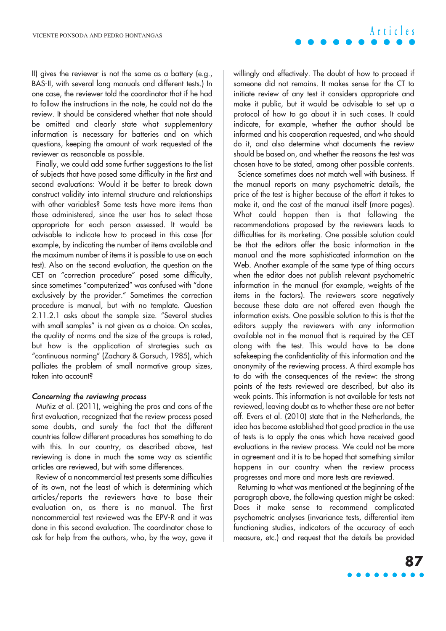II) gives the reviewer is not the same as a battery (e.g., BAS-II, with several long manuals and different tests.) In one case, the reviewer told the coordinator that if he had to follow the instructions in the note, he could not do the review. It should be considered whether that note should be omitted and clearly state what supplementary information is necessary for batteries and on which questions, keeping the amount of work requested of the reviewer as reasonable as possible.

Finally, we could add some further suggestions to the list of subjects that have posed some difficulty in the first and second evaluations: Would it be better to break down construct validity into internal structure and relationships with other variables? Some tests have more items than those administered, since the user has to select those appropriate for each person assessed. It would be advisable to indicate how to proceed in this case (for example, by indicating the number of items available and the maximum number of items it is possible to use on each test). Also on the second evaluation, the question on the CET on "correction procedure" posed some difficulty, since sometimes "computerized" was confused with "done exclusively by the provider." Sometimes the correction procedure is manual, but with no template. Question 2.11.2.1 asks about the sample size. "Several studies with small samples" is not given as a choice. On scales, the quality of norms and the size of the groups is rated, but how is the application of strategies such as "continuous norming" (Zachary & Gorsuch, 1985), which palliates the problem of small normative group sizes, taken into account?

#### Concerning the reviewing process

Muñiz et al. (2011), weighing the pros and cons of the first evaluation, recognized that the review process posed some doubts, and surely the fact that the different countries follow different procedures has something to do with this. In our country, as described above, test reviewing is done in much the same way as scientific articles are reviewed, but with some differences.

Review of a noncommercial test presents some difficulties of its own, not the least of which is determining which articles/reports the reviewers have to base their evaluation on, as there is no manual. The first noncommercial test reviewed was the EPV-R and it was done in this second evaluation. The coordinator chose to ask for help from the authors, who, by the way, gave it

willingly and effectively. The doubt of how to proceed if someone did not remains. It makes sense for the CT to initiate review of any test it considers appropriate and make it public, but it would be advisable to set up a protocol of how to go about it in such cases. It could indicate, for example, whether the author should be informed and his cooperation requested, and who should do it, and also determine what documents the review should be based on, and whether the reasons the test was chosen have to be stated, among other possible contents.

Science sometimes does not match well with business. If the manual reports on many psychometric details, the price of the test is higher because of the effort it takes to make it, and the cost of the manual itself (more pages). What could happen then is that following the recommendations proposed by the reviewers leads to difficulties for its marketing. One possible solution could be that the editors offer the basic information in the manual and the more sophisticated information on the Web. Another example of the same type of thing occurs when the editor does not publish relevant psychometric information in the manual (for example, weights of the items in the factors). The reviewers score negatively because these data are not offered even though the information exists. One possible solution to this is that the editors supply the reviewers with any information available not in the manual that is required by the CET along with the test. This would have to be done safekeeping the confidentiality of this information and the anonymity of the reviewing process. A third example has to do with the consequences of the review: the strong points of the tests reviewed are described, but also its weak points. This information is not available for tests not reviewed, leaving doubt as to whether these are not better off. Evers et al. (2010) state that in the Netherlands, the idea has become established that good practice in the use of tests is to apply the ones which have received good evaluations in the review process. We could not be more in agreement and it is to be hoped that something similar happens in our country when the review process progresses and more and more tests are reviewed.

Returning to what was mentioned at the beginning of the paragraph above, the following question might be asked: Does it make sense to recommend complicated psychometric analyses (invariance tests, differential item functioning studies, indicators of the accuracy of each measure, etc.) and request that the details be provided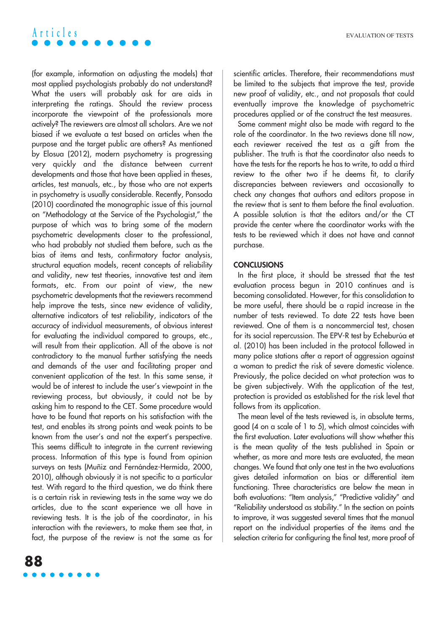## **Articles**

(for example, information on adjusting the models) that most applied psychologists probably do not understand? What the users will probably ask for are aids in interpreting the ratings. Should the review process incorporate the viewpoint of the professionals more actively? The reviewers are almost all scholars. Are we not biased if we evaluate a test based on articles when the purpose and the target public are others? As mentioned by Elosua (2012), modern psychometry is progressing very quickly and the distance between current developments and those that have been applied in theses, articles, test manuals, etc., by those who are not experts in psychometry is usually considerable. Recently, Ponsoda (2010) coordinated the monographic issue of this journal on "Methodology at the Service of the Psychologist," the purpose of which was to bring some of the modern psychometric developments closer to the professional, who had probably not studied them before, such as the bias of items and tests, confirmatory factor analysis, structural equation models, recent concepts of reliability and validity, new test theories, innovative test and item formats, etc. From our point of view, the new psychometric developments that the reviewers recommend help improve the tests, since new evidence of validity, alternative indicators of test reliability, indicators of the accuracy of individual measurements, of obvious interest for evaluating the individual compared to groups, etc., will result from their application. All of the above is not contradictory to the manual further satisfying the needs and demands of the user and facilitating proper and convenient application of the test. In this same sense, it would be of interest to include the user's viewpoint in the reviewing process, but obviously, it could not be by asking him to respond to the CET. Some procedure would have to be found that reports on his satisfaction with the test, and enables its strong points and weak points to be known from the user's and not the expert's perspective. This seems difficult to integrate in the current reviewing process. Information of this type is found from opinion surveys on tests (Muñiz and Fernández-Hermida, 2000, 2010), although obviously it is not specific to a particular test. With regard to the third question, we do think there is a certain risk in reviewing tests in the same way we do articles, due to the scant experience we all have in reviewing tests. It is the job of the coordinator, in his interaction with the reviewers, to make them see that, in fact, the purpose of the review is not the same as for scientific articles. Therefore, their recommendations must be limited to the subjects that improve the test, provide new proof of validity, etc., and not proposals that could eventually improve the knowledge of psychometric procedures applied or of the construct the test measures.

Some comment might also be made with regard to the role of the coordinator. In the two reviews done till now, each reviewer received the test as a gift from the publisher. The truth is that the coordinator also needs to have the tests for the reports he has to write, to add a third review to the other two if he deems fit, to clarify discrepancies between reviewers and occasionally to check any changes that authors and editors propose in the review that is sent to them before the final evaluation. A possible solution is that the editors and/or the CT provide the center where the coordinator works with the tests to be reviewed which it does not have and cannot purchase.

### **CONCLUSIONS**

In the first place, it should be stressed that the test evaluation process begun in 2010 continues and is becoming consolidated. However, for this consolidation to be more useful, there should be a rapid increase in the number of tests reviewed. To date 22 tests have been reviewed. One of them is a noncommercial test, chosen for its social repercussion. The EPV-R test by Echeburúa et al. (2010) has been included in the protocol followed in many police stations after a report of aggression against a woman to predict the risk of severe domestic violence. Previously, the police decided on what protection was to be given subjectively. With the application of the test, protection is provided as established for the risk level that follows from its application.

The mean level of the tests reviewed is, in absolute terms, good (4 on a scale of 1 to 5), which almost coincides with the first evaluation. Later evaluations will show whether this is the mean quality of the tests published in Spain or whether, as more and more tests are evaluated, the mean changes. We found that only one test in the two evaluations gives detailed information on bias or differential item functioning. Three characteristics are below the mean in both evaluations: "Item analysis," "Predictive validity" and "Reliability understood as stability." In the section on points to improve, it was suggested several times that the manual report on the individual properties of the items and the selection criteria for configuring the final test, more proof of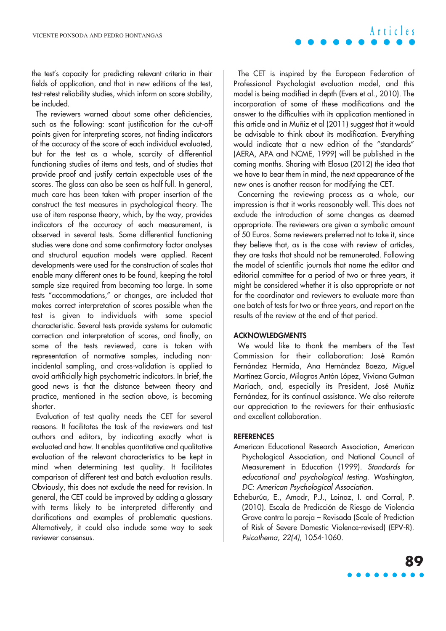the test's capacity for predicting relevant criteria in their fields of application, and that in new editions of the test, test-retest reliability studies, which inform on score stability, be included.

The reviewers warned about some other deficiencies, such as the following: scant justification for the cut-off points given for interpreting scores, not finding indicators of the accuracy of the score of each individual evaluated, but for the test as a whole, scarcity of differential functioning studies of items and tests, and of studies that provide proof and justify certain expectable uses of the scores. The glass can also be seen as half full. In general, much care has been taken with proper insertion of the construct the test measures in psychological theory. The use of item response theory, which, by the way, provides indicators of the accuracy of each measurement, is observed in several tests. Some differential functioning studies were done and some confirmatory factor analyses and structural equation models were applied. Recent developments were used for the construction of scales that enable many different ones to be found, keeping the total sample size required from becoming too large. In some tests "accommodations," or changes, are included that makes correct interpretation of scores possible when the test is given to individuals with some special characteristic. Several tests provide systems for automatic correction and interpretation of scores, and finally, on some of the tests reviewed, care is taken with representation of normative samples, including nonincidental sampling, and cross-validation is applied to avoid artificially high psychometric indicators. In brief, the good news is that the distance between theory and practice, mentioned in the section above, is becoming shorter.

Evaluation of test quality needs the CET for several reasons. It facilitates the task of the reviewers and test authors and editors, by indicating exactly what is evaluated and how. It enables quantitative and qualitative evaluation of the relevant characteristics to be kept in mind when determining test quality. It facilitates comparison of different test and batch evaluation results. Obviously, this does not exclude the need for revision. In general, the CET could be improved by adding a glossary with terms likely to be interpreted differently and clarifications and examples of problematic questions. Alternatively, it could also include some way to seek reviewer consensus.

The CET is inspired by the European Federation of Professional Psychologist evaluation model, and this model is being modified in depth (Evers et al., 2010). The incorporation of some of these modifications and the answer to the difficulties with its application mentioned in this article and in Muñiz et al (2011) suggest that it would be advisable to think about its modification. Everything would indicate that a new edition of the "standards" (AERA, APA and NCME, 1999) will be published in the coming months. Sharing with Elosua (2012) the idea that we have to bear them in mind, the next appearance of the new ones is another reason for modifying the CET.

Concerning the reviewing process as a whole, our impression is that it works reasonably well. This does not exclude the introduction of some changes as deemed appropriate. The reviewers are given a symbolic amount of 50 Euros. Some reviewers preferred not to take it, since they believe that, as is the case with review of articles, they are tasks that should not be remunerated. Following the model of scientific journals that name the editor and editorial committee for a period of two or three years, it might be considered whether it is also appropriate or not for the coordinator and reviewers to evaluate more than one batch of tests for two or three years, and report on the results of the review at the end of that period.

## **ACKNOWLEDGMENTS**

We would like to thank the members of the Test Commission for their collaboration: José Ramón Fernández Hermida, Ana Hernández Baeza, Miguel Martínez García, Milagros Antón López, Viviana Gutman Mariach, and, especially its President, José Muñiz Fernández, for its continual assistance. We also reiterate our appreciation to the reviewers for their enthusiastic and excellent collaboration.

### **REFERENCES**

- American Educational Research Association, American Psychological Association, and National Council of Measurement in Education (1999). Standards for educational and psychological testing. Washington, DC: American Psychological Association.
- Echeburúa, E., Amodr, P.J., Loinaz, I. and Corral, P. (2010). Escala de Predicción de Riesgo de Violencia Grave contra la pareja – Revisada (Scale of Prediction of Risk of Severe Domestic Violence-revised) (EPV-R). Psicothema, 22(4), 1054-1060.